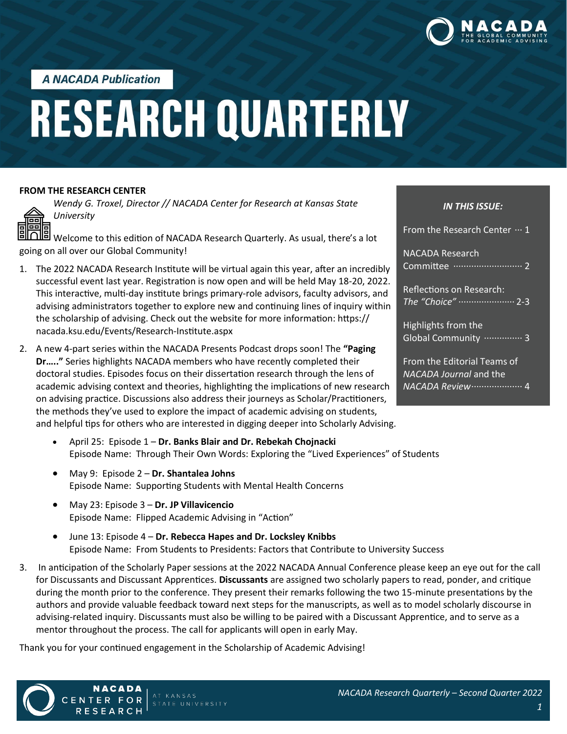

**A NACADA Publication** 

# **RESEARCH QUARTERLY**

#### **FROM THE RESEARCH CENTER**

ᆱ ᆱ *Wendy G. Troxel, Director // NACADA Center for Research at Kansas State University*

Welcome to this edition of NACADA Research Quarterly. As usual, there's a lot going on all over our Global Community!

- 1. The 2022 NACADA Research Institute will be virtual again this year, after an incredibly successful event last year. Registration is now open and will be held May 18-20, 2022. This interactive, multi-day institute brings primary-role advisors, faculty advisors, and advising administrators together to explore new and continuing lines of inquiry within the scholarship of advising. Check out the website for more information: https:// nacada.ksu.edu/Events/Research-Institute.aspx
- 2. A new 4-part series within the NACADA Presents Podcast drops soon! The **"Paging Dr….."** Series highlights NACADA members who have recently completed their doctoral studies. Episodes focus on their dissertation research through the lens of academic advising context and theories, highlighting the implications of new research on advising practice. Discussions also address their journeys as Scholar/Practitioners, the methods they've used to explore the impact of academic advising on students, and helpful tips for others who are interested in digging deeper into Scholarly Advising.
	- April 25: Episode 1 **Dr. Banks Blair and Dr. Rebekah Chojnacki** Episode Name: Through Their Own Words: Exploring the "Lived Experiences" of Students
	- May 9: Episode 2 **Dr. Shantalea Johns** Episode Name: Supporting Students with Mental Health Concerns
	- May 23: Episode 3 **Dr. JP Villavicencio** Episode Name: Flipped Academic Advising in "Action"
	- June 13: Episode 4 **Dr. Rebecca Hapes and Dr. Locksley Knibbs** Episode Name: From Students to Presidents: Factors that Contribute to University Success
- 3. In anticipation of the Scholarly Paper sessions at the 2022 NACADA Annual Conference please keep an eye out for the call for Discussants and Discussant Apprentices. **Discussants** are assigned two scholarly papers to read, ponder, and critique during the month prior to the conference. They present their remarks following the two 15-minute presentations by the authors and provide valuable feedback toward next steps for the manuscripts, as well as to model scholarly discourse in advising-related inquiry. Discussants must also be willing to be paired with a Discussant Apprentice, and to serve as a mentor throughout the process. The call for applicants will open in early May.

Thank you for your continued engagement in the Scholarship of Academic Advising!



NACADA

RESEARCH

FOR

#### *IN THIS ISSUE:*

From the Research Center  $\cdots$  1 NACADA Research Committee ··························· 2 Reflections on Research: *The "Choice"* ······················ 2-3

Highlights from the Global Community ················ 3

From the Editorial Teams of *NACADA Journal* and the *NACADA Review*···················· 4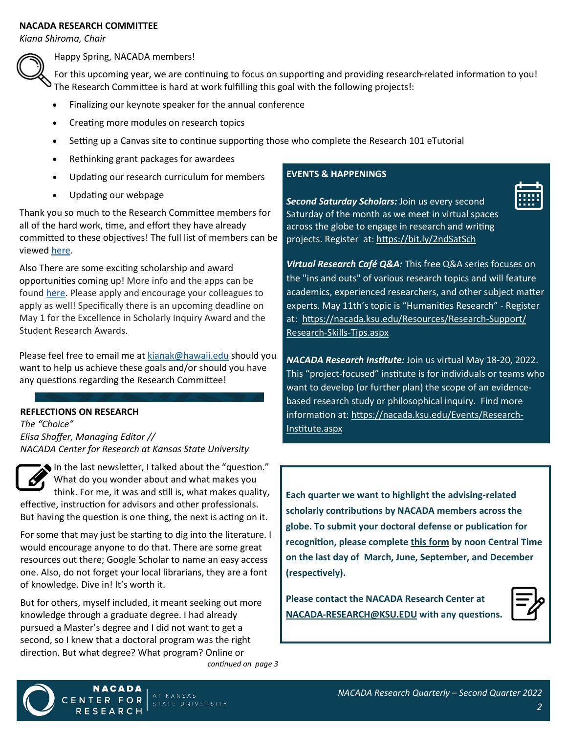#### **NACADA RESEARCH COMMITTEE**

*Kiana Shiroma, Chair*



Happy Spring, NACADA members!

For this upcoming year, we are continuing to focus on supporting and providing research-related information to you! The Research Committee is hard at work fulfilling this goal with the following projects!:

- Finalizing our keynote speaker for the annual conference
- Creating more modules on research topics
- Setting up a Canvas site to continue supporting those who complete the Research 101 eTutorial
- Rethinking grant packages for awardees
- Updating our research curriculum for members
- Updating our webpage

Thank you so much to the Research Committee members for all of the hard work, time, and effort they have already committed to these objectives! The full list of members can be viewed [here.](https://nacada.ksu.edu/About-Us/NACADA-Leadership/Administrative-Division/Research-Committee.aspx)

Also There are some exciting scholarship and award opportunities coming up! More info and the apps can be found [here.](https://nacada.ksu.edu/Programs/Awards.aspx) Please apply and encourage your colleagues to apply as well! Specifically there is an upcoming deadline on May 1 for the Excellence in Scholarly Inquiry Award and the Student Research Awards.

Please feel free to email me at [kianak@hawaii.edu](mailto:kianak@hawaii.edu) should you want to help us achieve these goals and/or should you have any questions regarding the Research Committee!

#### **REFLECTIONS ON RESEARCH**

*The "Choice" Elisa Shaffer, Managing Editor // NACADA Center for Research at Kansas State University*

In the last newsletter, I talked about the "question." What do you wonder about and what makes you think. For me, it was and still is, what makes quality, effective, instruction for advisors and other professionals.

But having the question is one thing, the next is acting on it.

For some that may just be starting to dig into the literature. I would encourage anyone to do that. There are some great resources out there; Google Scholar to name an easy access one. Also, do not forget your local librarians, they are a font of knowledge. Dive in! It's worth it.

But for others, myself included, it meant seeking out more knowledge through a graduate degree. I had already pursued a Master's degree and I did not want to get a second, so I knew that a doctoral program was the right direction. But what degree? What program? Online or

*continued on page 3*

#### **EVENTS & HAPPENINGS**



*[Second Saturday Scholars:](https://nacada.ksu.edu/Resources/Research-Center/Writer-Support/Global-Writing-Days.aspx)* Join us every second Saturday of the month as we meet in virtual spaces across the globe to engage in research and writing projects. Register at: <https://bit.ly/2ndSatSch>

*[Virtual Research Café Q&A:](https://nacada.ksu.edu/Resources/Research-Center/Research-Skills-Tips.aspx)* This free Q&A series focuses on the "ins and outs" of various research topics and will feature academics, experienced researchers, and other subject matter experts. May 11th's topic is "Humanities Research" - Register at: [https://nacada.ksu.edu/Resources/Research](https://nacada.ksu.edu/Resources/Research-Support/Research-Skills-Tips.aspx)-Support/ Research-Skills-[Tips.aspx](https://nacada.ksu.edu/Resources/Research-Support/Research-Skills-Tips.aspx)

*[NACADA Research Institute:](https://nacada.ksu.edu/Events/Research-Institute.aspx)* Join us virtual May 18-20, 2022. This "project-focused" institute is for individuals or teams who want to develop (or further plan) the scope of an evidencebased research study or philosophical inquiry. Find more information at: [https://nacada.ksu.edu/Events/Research](https://nacada.ksu.edu/Events/Research-Institute.aspx)-[Institute.aspx](https://nacada.ksu.edu/Events/Research-Institute.aspx)

**Each quarter we want to highlight the advising-related scholarly contributions by NACADA members across the globe. To submit your doctoral defense or publication for recognition, please complete [this form](https://bit.ly/NACADAScholars) by noon Central Time on the last day of March, June, September, and December (respectively).**

**Please contact the NACADA Research Center at NACADA-[RESEARCH@KSU.EDU](mailto:NACADA-RESEARCH@KSU.EDU?subject=NACADA%20Scholars) with any questions.**



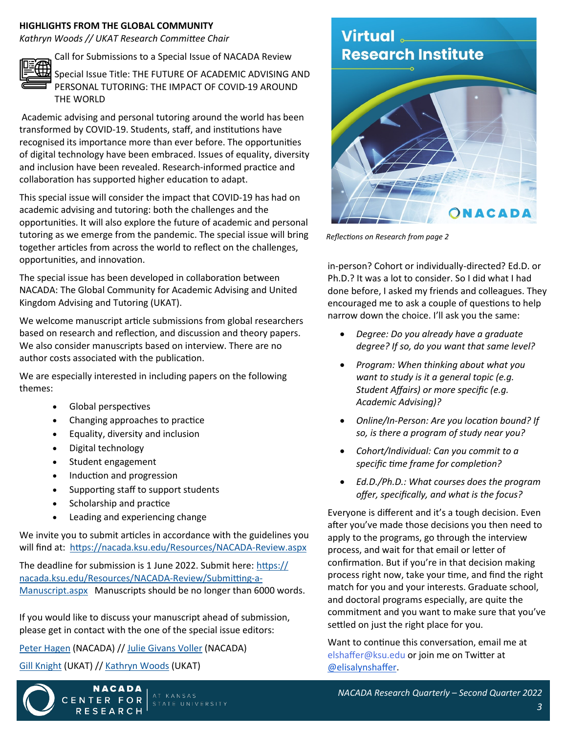### **HIGHLIGHTS FROM THE GLOBAL COMMUNITY**

*Kathryn Woods // UKAT Research Committee Chair*



Call for Submissions to a Special Issue of NACADA Review

Special Issue Title: THE FUTURE OF ACADEMIC ADVISING AND PERSONAL TUTORING: THE IMPACT OF COVID-19 AROUND THE WORLD

Academic advising and personal tutoring around the world has been transformed by COVID-19. Students, staff, and institutions have recognised its importance more than ever before. The opportunities of digital technology have been embraced. Issues of equality, diversity and inclusion have been revealed. Research-informed practice and collaboration has supported higher education to adapt.

This special issue will consider the impact that COVID-19 has had on academic advising and tutoring: both the challenges and the opportunities. It will also explore the future of academic and personal tutoring as we emerge from the pandemic. The special issue will bring together articles from across the world to reflect on the challenges, opportunities, and innovation.

The special issue has been developed in collaboration between NACADA: The Global Community for Academic Advising and United Kingdom Advising and Tutoring (UKAT).

We welcome manuscript article submissions from global researchers based on research and reflection, and discussion and theory papers. We also consider manuscripts based on interview. There are no author costs associated with the publication.

We are especially interested in including papers on the following themes:

- Global perspectives
- Changing approaches to practice
- Equality, diversity and inclusion
- Digital technology
- Student engagement
- Induction and progression
- Supporting staff to support students
- Scholarship and practice
- Leading and experiencing change

We invite you to submit articles in accordance with the guidelines you will find at: [https://nacada.ksu.edu/Resources/NACADA](https://nacada.ksu.edu/Resources/NACADA-Review.aspx)-Review.aspx

The deadline for submission is 1 June 2022. Submit here: [https://](https://nacada.ksu.edu/Resources/NACADA-Review/Submitting-a-Manuscript.aspx) [nacada.ksu.edu/Resources/NACADA](https://nacada.ksu.edu/Resources/NACADA-Review/Submitting-a-Manuscript.aspx)-Review/Submitting-a-[Manuscript.aspx](https://nacada.ksu.edu/Resources/NACADA-Review/Submitting-a-Manuscript.aspx) Manuscripts should be no longer than 6000 words.

If you would like to discuss your manuscript ahead of submission, please get in contact with the one of the special issue editors:

[Peter Hagen](mailto:publish@ksu.edu) (NACADA) // [Julie Givans Voller](mailto:publish@ksu.edu) (NACADA)

[Gill Knight](mailto:g.knight@aston.ac.uk) (UKAT) // [Kathryn Woods](mailto:k.woods@gold.ac.uk) (UKAT)

CENTER





# Virtual **Research Institute**



*Reflections on Research from page 2*

in-person? Cohort or individually-directed? Ed.D. or Ph.D.? It was a lot to consider. So I did what I had done before, I asked my friends and colleagues. They encouraged me to ask a couple of questions to help narrow down the choice. I'll ask you the same:

- *Degree: Do you already have a graduate degree? If so, do you want that same level?*
- *Program: When thinking about what you want to study is it a general topic (e.g. Student Affairs) or more specific (e.g. Academic Advising)?*
- *Online/In-Person: Are you location bound? If so, is there a program of study near you?*
- *Cohort/Individual: Can you commit to a specific time frame for completion?*
- *Ed.D./Ph.D.: What courses does the program offer, specifically, and what is the focus?*

Everyone is different and it's a tough decision. Even after you've made those decisions you then need to apply to the programs, go through the interview process, and wait for that email or letter of confirmation. But if you're in that decision making process right now, take your time, and find the right match for you and your interests. Graduate school, and doctoral programs especially, are quite the commitment and you want to make sure that you've settled on just the right place for you.

Want to continue this conversation, email me at elshaffer@ksu.edu or join me on Twitter at [@elisalynshaffer.](https://twitter.com/elisalynshaffer)